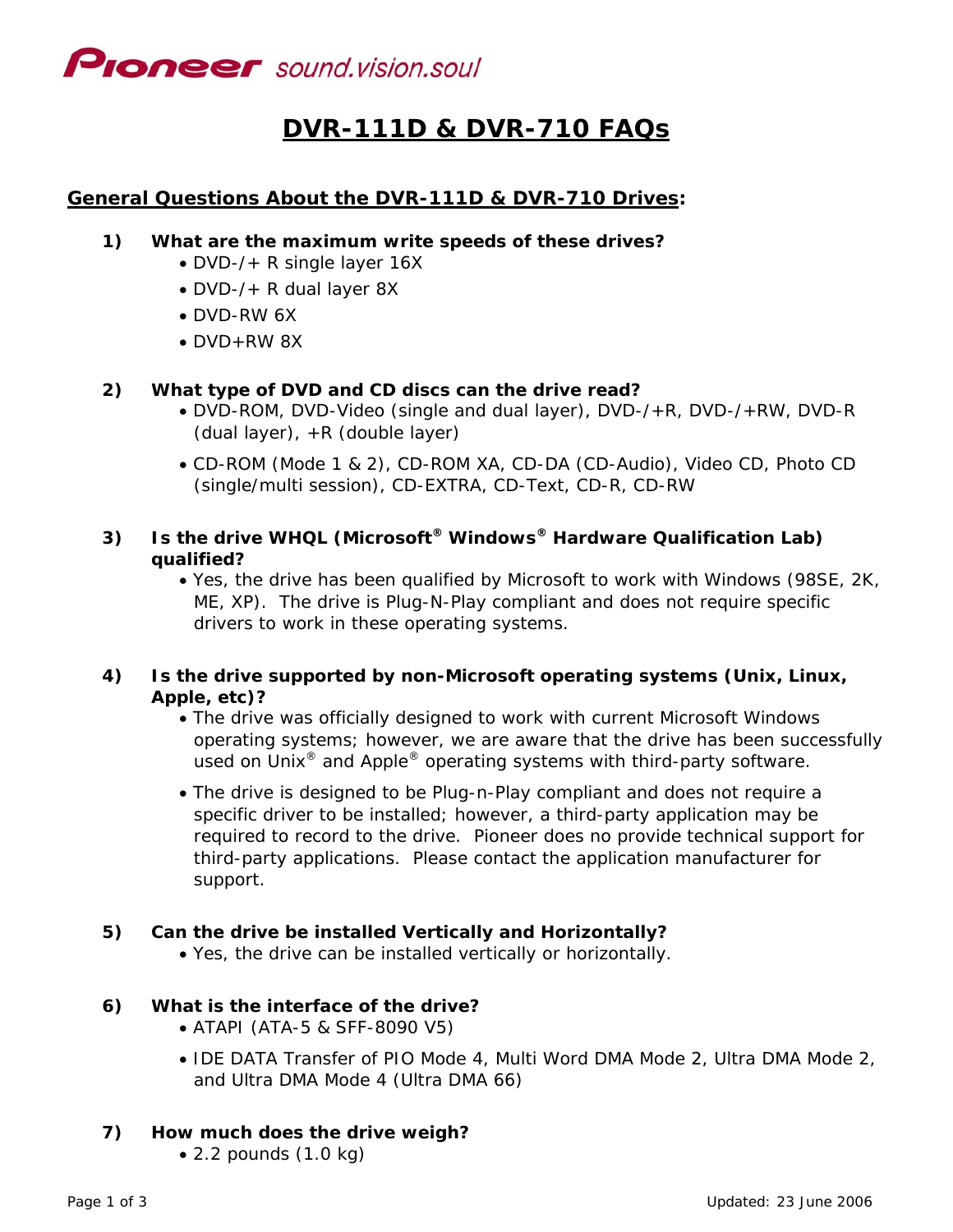

# **DVR-111D & DVR-710 FAQs**

# **General Questions About the DVR-111D & DVR-710 Drives:**

#### **1) What are the maximum write speeds of these drives?**

- DVD-/+ R single layer 16X
- DVD-/+ R dual layer 8X
- DVD-RW 6X
- DVD+RW 8X

#### **2) What type of DVD and CD discs can the drive read?**

- DVD-ROM, DVD-Video (single and dual layer), DVD-/+R, DVD-/+RW, DVD-R (dual layer), +R (double layer)
- CD-ROM (Mode 1 & 2), CD-ROM XA, CD-DA (CD-Audio), Video CD, Photo CD (single/multi session), CD-EXTRA, CD-Text, CD-R, CD-RW

# **3) Is the drive WHQL (Microsoft® Windows® Hardware Qualification Lab) qualified?**

• Yes, the drive has been qualified by Microsoft to work with Windows (98SE, 2K, ME, XP). The drive is Plug-N-Play compliant and does not require specific drivers to work in these operating systems.

# **4) Is the drive supported by non-Microsoft operating systems (Unix, Linux, Apple, etc)?**

- The drive was officially designed to work with current Microsoft Windows operating systems; however, we are aware that the drive has been successfully used on Unix<sup>®</sup> and Apple<sup>®</sup> operating systems with third-party software.
- The drive is designed to be Plug-n-Play compliant and does not require a specific driver to be installed; however, a third-party application may be required to record to the drive. Pioneer does no provide technical support for third-party applications. Please contact the application manufacturer for support.

# **5) Can the drive be installed Vertically and Horizontally?**

• Yes, the drive can be installed vertically or horizontally.

#### **6) What is the interface of the drive?**

- ATAPI (ATA-5 & SFF-8090 V5)
- IDE DATA Transfer of PIO Mode 4, Multi Word DMA Mode 2, Ultra DMA Mode 2, and Ultra DMA Mode 4 (Ultra DMA 66)

# **7) How much does the drive weigh?**

• 2.2 pounds (1.0 kg)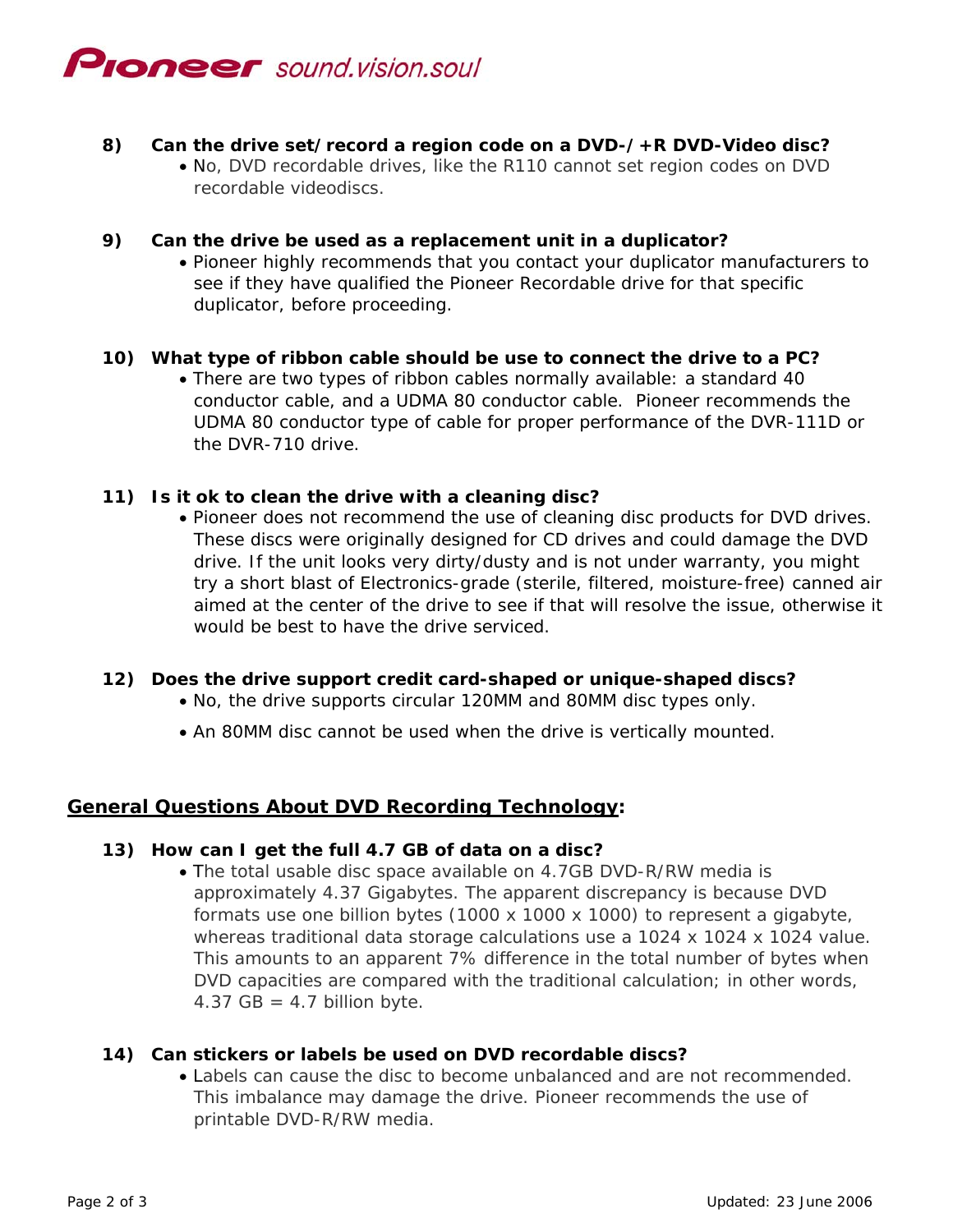

# **8) Can the drive set/record a region code on a DVD-/+R DVD-Video disc?**

• No, DVD recordable drives, like the R110 cannot set region codes on DVD recordable videodiscs.

### **9) Can the drive be used as a replacement unit in a duplicator?**

• Pioneer highly recommends that you contact your duplicator manufacturers to see if they have qualified the Pioneer Recordable drive for that specific duplicator, before proceeding.

# **10) What type of ribbon cable should be use to connect the drive to a PC?**

• There are two types of ribbon cables normally available: a standard 40 conductor cable, and a UDMA 80 conductor cable. Pioneer recommends the UDMA 80 conductor type of cable for proper performance of the DVR-111D or the DVR-710 drive.

# **11) Is it ok to clean the drive with a cleaning disc?**

• Pioneer does not recommend the use of cleaning disc products for DVD drives. These discs were originally designed for CD drives and could damage the DVD drive. If the unit looks very dirty/dusty and is not under warranty, you might try a short blast of Electronics-grade (sterile, filtered, moisture-free) canned air aimed at the center of the drive to see if that will resolve the issue, otherwise it would be best to have the drive serviced.

#### **12) Does the drive support credit card-shaped or unique-shaped discs?**

- No, the drive supports circular 120MM and 80MM disc types only.
- An 80MM disc cannot be used when the drive is vertically mounted.

# **General Questions About DVD Recording Technology:**

#### **13) How can I get the full 4.7 GB of data on a disc?**

• The total usable disc space available on 4.7GB DVD-R/RW media is approximately 4.37 Gigabytes. The apparent discrepancy is because DVD formats use one billion bytes (1000 x 1000 x 1000) to represent a gigabyte, whereas traditional data storage calculations use a 1024 x 1024 x 1024 value. This amounts to an apparent 7% difference in the total number of bytes when DVD capacities are compared with the traditional calculation; in other words, 4.37 GB =  $4.7$  billion byte.

#### **14) Can stickers or labels be used on DVD recordable discs?**

• Labels can cause the disc to become unbalanced and are not recommended. This imbalance may damage the drive. Pioneer recommends the use of printable DVD-R/RW media.